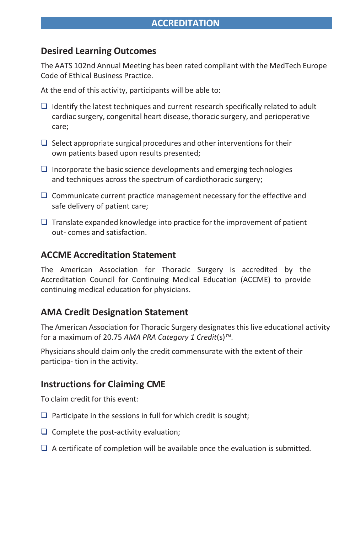### **Desired Learning Outcomes**

The AATS 102nd Annual Meeting has been rated compliant with the MedTech Europe Code of Ethical Business Practice.

At the end of this activity, participants will be able to:

- ❑ Identify the latest techniques and current research specifically related to adult cardiac surgery, congenital heart disease, thoracic surgery, and perioperative care;
- $\Box$  Select appropriate surgical procedures and other interventions for their own patients based upon results presented;
- $\Box$  Incorporate the basic science developments and emerging technologies and techniques across the spectrum of cardiothoracic surgery;
- ❑ Communicate current practice management necessary for the effective and safe delivery of patient care;
- $\Box$  Translate expanded knowledge into practice for the improvement of patient out- comes and satisfaction.

#### **ACCME Accreditation Statement**

The American Association for Thoracic Surgery is accredited by the Accreditation Council for Continuing Medical Education (ACCME) to provide continuing medical education for physicians.

#### **AMA Credit Designation Statement**

The American Association for Thoracic Surgery designates this live educational activity for a maximum of 20.75 *AMA PRA Category 1 Credit*(s)*™*.

Physicians should claim only the credit commensurate with the extent of their participa- tion in the activity.

#### **Instructions for Claiming CME**

To claim credit for this event:

- $\Box$  Participate in the sessions in full for which credit is sought;
- $\Box$  Complete the post-activity evaluation;
- $\Box$  A certificate of completion will be available once the evaluation is submitted.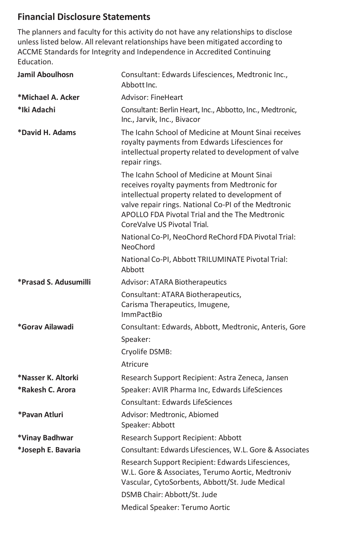# **Financial Disclosure Statements**

The planners and faculty for this activity do not have any relationships to disclose unless listed below. All relevant relationships have been mitigated according to ACCME Standards for Integrity and Independence in Accredited Continuing Education.

|  | Jamil Aboulhosn       | Consultant: Edwards Lifesciences, Medtronic Inc.,<br>Abbott Inc.                                                                                                                                                                                                                       |
|--|-----------------------|----------------------------------------------------------------------------------------------------------------------------------------------------------------------------------------------------------------------------------------------------------------------------------------|
|  | *Michael A. Acker     | Advisor: FineHeart                                                                                                                                                                                                                                                                     |
|  | *Iki Adachi           | Consultant: Berlin Heart, Inc., Abbotto, Inc., Medtronic,<br>Inc., Jarvik, Inc., Bivacor                                                                                                                                                                                               |
|  | *David H. Adams       | The Icahn School of Medicine at Mount Sinai receives<br>royalty payments from Edwards Lifesciences for<br>intellectual property related to development of valve<br>repair rings.                                                                                                       |
|  |                       | The Icahn School of Medicine at Mount Sinai<br>receives royalty payments from Medtronic for<br>intellectual property related to development of<br>valve repair rings. National Co-PI of the Medtronic<br>APOLLO FDA Pivotal Trial and the The Medtronic<br>CoreValve US Pivotal Trial. |
|  |                       | National Co-PI, NeoChord ReChord FDA Pivotal Trial:<br><b>NeoChord</b>                                                                                                                                                                                                                 |
|  |                       | National Co-PI, Abbott TRILUMINATE Pivotal Trial:<br>Abbott                                                                                                                                                                                                                            |
|  | *Prasad S. Adusumilli | <b>Advisor: ATARA Biotherapeutics</b>                                                                                                                                                                                                                                                  |
|  |                       | Consultant: ATARA Biotherapeutics,<br>Carisma Therapeutics, Imugene,<br><b>ImmPactBio</b>                                                                                                                                                                                              |
|  | *Gorav Ailawadi       | Consultant: Edwards, Abbott, Medtronic, Anteris, Gore<br>Speaker:                                                                                                                                                                                                                      |
|  |                       | Cryolife DSMB:                                                                                                                                                                                                                                                                         |
|  |                       | Atricure                                                                                                                                                                                                                                                                               |
|  | *Nasser K. Altorki    | Research Support Recipient: Astra Zeneca, Jansen                                                                                                                                                                                                                                       |
|  | *Rakesh C. Arora      | Speaker: AVIR Pharma Inc, Edwards LifeSciences                                                                                                                                                                                                                                         |
|  |                       | <b>Consultant: Edwards LifeSciences</b>                                                                                                                                                                                                                                                |
|  | *Pavan Atluri         | Advisor: Medtronic, Abiomed<br>Speaker: Abbott                                                                                                                                                                                                                                         |
|  | *Vinay Badhwar        | Research Support Recipient: Abbott                                                                                                                                                                                                                                                     |
|  | *Joseph E. Bavaria    | Consultant: Edwards Lifesciences, W.L. Gore & Associates                                                                                                                                                                                                                               |
|  |                       | Research Support Recipient: Edwards Lifesciences,<br>W.L. Gore & Associates, Terumo Aortic, Medtroniv<br>Vascular, CytoSorbents, Abbott/St. Jude Medical                                                                                                                               |
|  |                       | DSMB Chair: Abbott/St. Jude                                                                                                                                                                                                                                                            |
|  |                       | Medical Speaker: Terumo Aortic                                                                                                                                                                                                                                                         |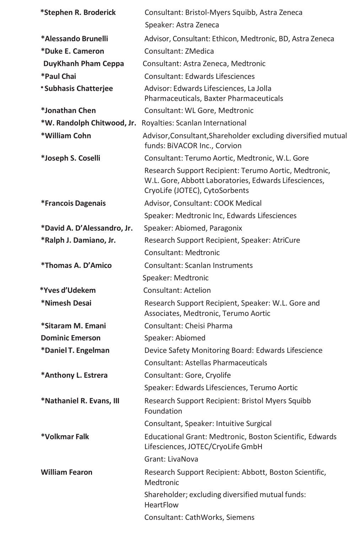| *Stephen R. Broderick       | Consultant: Bristol-Myers Squibb, Astra Zeneca                                                                                                   |
|-----------------------------|--------------------------------------------------------------------------------------------------------------------------------------------------|
|                             | Speaker: Astra Zeneca                                                                                                                            |
| *Alessando Brunelli         | Advisor, Consultant: Ethicon, Medtronic, BD, Astra Zeneca                                                                                        |
| *Duke E. Cameron            | Consultant: ZMedica                                                                                                                              |
| DuyKhanh Pham Ceppa         | Consultant: Astra Zeneca, Medtronic                                                                                                              |
| *Paul Chai                  | Consultant: Edwards Lifesciences                                                                                                                 |
| *Subhasis Chatterjee        | Advisor: Edwards Lifesciences, La Jolla<br>Pharmaceuticals, Baxter Pharmaceuticals                                                               |
| *Jonathan Chen              | Consultant: WL Gore, Medtronic                                                                                                                   |
|                             | *W. Randolph Chitwood, Jr. Royalties: Scanlan International                                                                                      |
| *William Cohn               | Advisor, Consultant, Shareholder excluding diversified mutual<br>funds: BiVACOR Inc., Corvion                                                    |
| *Joseph S. Coselli          | Consultant: Terumo Aortic, Medtronic, W.L. Gore                                                                                                  |
|                             | Research Support Recipient: Terumo Aortic, Medtronic,<br>W.L. Gore, Abbott Laboratories, Edwards Lifesciences,<br>CryoLife (JOTEC), CytoSorbents |
| *Francois Dagenais          | Advisor, Consultant: COOK Medical                                                                                                                |
|                             | Speaker: Medtronic Inc, Edwards Lifesciences                                                                                                     |
| *David A. D'Alessandro, Jr. | Speaker: Abiomed, Paragonix                                                                                                                      |
| *Ralph J. Damiano, Jr.      | Research Support Recipient, Speaker: AtriCure                                                                                                    |
|                             | Consultant: Medtronic                                                                                                                            |
| *Thomas A. D'Amico          | Consultant: Scanlan Instruments                                                                                                                  |
|                             | Speaker: Medtronic                                                                                                                               |
| *Yves d'Udekem              | Consultant: Actelion                                                                                                                             |
| *Nimesh Desai               | Research Support Recipient, Speaker: W.L. Gore and<br>Associates, Medtronic, Terumo Aortic                                                       |
| *Sitaram M. Emani           | Consultant: Cheisi Pharma                                                                                                                        |
| <b>Dominic Emerson</b>      | Speaker: Abiomed                                                                                                                                 |
| *Daniel T. Engelman         | Device Safety Monitoring Board: Edwards Lifescience                                                                                              |
|                             | Consultant: Astellas Pharmaceuticals                                                                                                             |
| *Anthony L. Estrera         | Consultant: Gore, Cryolife                                                                                                                       |
|                             | Speaker: Edwards Lifesciences, Terumo Aortic                                                                                                     |
| *Nathaniel R. Evans, III    | Research Support Recipient: Bristol Myers Squibb<br>Foundation                                                                                   |
|                             | Consultant, Speaker: Intuitive Surgical                                                                                                          |
| *Volkmar Falk               | Educational Grant: Medtronic, Boston Scientific, Edwards<br>Lifesciences, JOTEC/CryoLife GmbH                                                    |
|                             | Grant: LivaNova                                                                                                                                  |
| <b>William Fearon</b>       | Research Support Recipient: Abbott, Boston Scientific,<br>Medtronic                                                                              |
|                             | Shareholder; excluding diversified mutual funds:<br><b>HeartFlow</b>                                                                             |
|                             | Consultant: CathWorks, Siemens                                                                                                                   |
|                             |                                                                                                                                                  |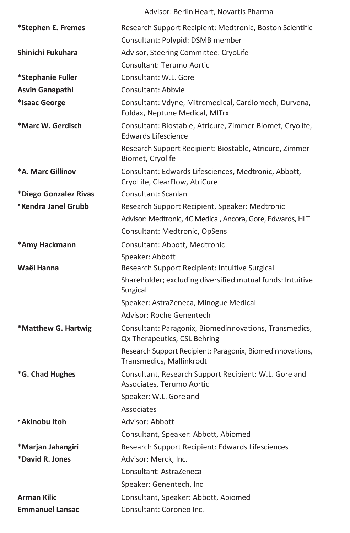|                        | Advisor: Berlin Heart, Novartis Pharma                                                  |
|------------------------|-----------------------------------------------------------------------------------------|
| *Stephen E. Fremes     | Research Support Recipient: Medtronic, Boston Scientific                                |
|                        | Consultant: Polypid: DSMB member                                                        |
| Shinichi Fukuhara      | Advisor, Steering Committee: CryoLife                                                   |
|                        | Consultant: Terumo Aortic                                                               |
| *Stephanie Fuller      | Consultant: W.L. Gore                                                                   |
| Asvin Ganapathi        | Consultant: Abbyie                                                                      |
| *Isaac George          | Consultant: Vdyne, Mitremedical, Cardiomech, Durvena,<br>Foldax, Neptune Medical, MITrx |
| *Marc W. Gerdisch      | Consultant: Biostable, Atricure, Zimmer Biomet, Cryolife,<br><b>Edwards Lifescience</b> |
|                        | Research Support Recipient: Biostable, Atricure, Zimmer<br>Biomet, Cryolife             |
| *A. Marc Gillinov      | Consultant: Edwards Lifesciences, Medtronic, Abbott,<br>CryoLife, ClearFlow, AtriCure   |
| *Diego Gonzalez Rivas  | Consultant: Scanlan                                                                     |
| *Kendra Janel Grubb    | Research Support Recipient, Speaker: Medtronic                                          |
|                        | Advisor: Medtronic, 4C Medical, Ancora, Gore, Edwards, HLT                              |
|                        | Consultant: Medtronic, OpSens                                                           |
| *Amy Hackmann          | Consultant: Abbott, Medtronic                                                           |
|                        | Speaker: Abbott                                                                         |
| Waël Hanna             | Research Support Recipient: Intuitive Surgical                                          |
|                        | Shareholder; excluding diversified mutual funds: Intuitive<br>Surgical                  |
|                        | Speaker: AstraZeneca, Minogue Medical                                                   |
|                        | Advisor: Roche Genentech                                                                |
| *Matthew G. Hartwig    | Consultant: Paragonix, Biomedinnovations, Transmedics,<br>Qx Therapeutics, CSL Behring  |
|                        | Research Support Recipient: Paragonix, Biomedinnovations,<br>Transmedics, Mallinkrodt   |
| *G. Chad Hughes        | Consultant, Research Support Recipient: W.L. Gore and<br>Associates, Terumo Aortic      |
|                        | Speaker: W.L. Gore and                                                                  |
|                        | Associates                                                                              |
| * Akinobu Itoh         | Advisor: Abbott                                                                         |
|                        | Consultant, Speaker: Abbott, Abiomed                                                    |
| *Marjan Jahangiri      | Research Support Recipient: Edwards Lifesciences                                        |
| *David R. Jones        | Advisor: Merck, Inc.                                                                    |
|                        | Consultant: AstraZeneca                                                                 |
|                        | Speaker: Genentech, Inc                                                                 |
| <b>Arman Kilic</b>     | Consultant, Speaker: Abbott, Abiomed                                                    |
| <b>Emmanuel Lansac</b> | Consultant: Coroneo Inc.                                                                |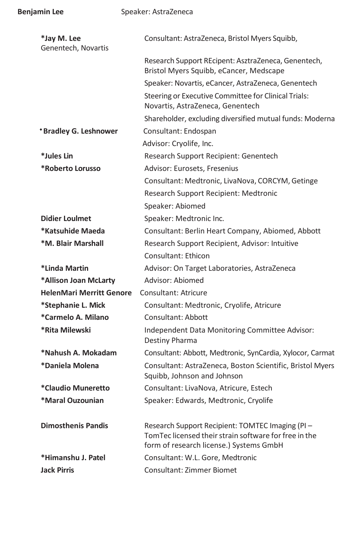| *Jay M. Lee                     | Consultant: AstraZeneca, Bristol Myers Squibb,                                                                                                      |
|---------------------------------|-----------------------------------------------------------------------------------------------------------------------------------------------------|
| Genentech, Novartis             |                                                                                                                                                     |
|                                 | Research Support REcipent: AsztraZeneca, Genentech,<br>Bristol Myers Squibb, eCancer, Medscape                                                      |
|                                 | Speaker: Novartis, eCancer, AstraZeneca, Genentech                                                                                                  |
|                                 | Steering or Executive Committee for Clinical Trials:<br>Novartis, AstraZeneca, Genentech                                                            |
|                                 | Shareholder, excluding diversified mutual funds: Moderna                                                                                            |
| *Bradley G. Leshnower           | Consultant: Endospan                                                                                                                                |
|                                 | Advisor: Cryolife, Inc.                                                                                                                             |
| *Jules Lin                      | Research Support Recipient: Genentech                                                                                                               |
| *Roberto Lorusso                | Advisor: Eurosets, Fresenius                                                                                                                        |
|                                 | Consultant: Medtronic, LivaNova, CORCYM, Getinge                                                                                                    |
|                                 | Research Support Recipient: Medtronic                                                                                                               |
|                                 | Speaker: Abiomed                                                                                                                                    |
| <b>Didier Loulmet</b>           | Speaker: Medtronic Inc.                                                                                                                             |
| *Katsuhide Maeda                | Consultant: Berlin Heart Company, Abiomed, Abbott                                                                                                   |
| *M. Blair Marshall              | Research Support Recipient, Advisor: Intuitive                                                                                                      |
|                                 | Consultant: Ethicon                                                                                                                                 |
| *Linda Martin                   | Advisor: On Target Laboratories, AstraZeneca                                                                                                        |
| *Allison Joan McLarty           | Advisor: Abiomed                                                                                                                                    |
| <b>HelenMari Merritt Genore</b> | Consultant: Atricure                                                                                                                                |
| *Stephanie L. Mick              | Consultant: Medtronic, Cryolife, Atricure                                                                                                           |
| *Carmelo A. Milano              | Consultant: Abbott                                                                                                                                  |
| *Rita Milewski                  | Independent Data Monitoring Committee Advisor:<br>Destiny Pharma                                                                                    |
| *Nahush A. Mokadam              | Consultant: Abbott, Medtronic, SynCardia, Xylocor, Carmat                                                                                           |
| *Daniela Molena                 | Consultant: AstraZeneca, Boston Scientific, Bristol Myers<br>Squibb, Johnson and Johnson                                                            |
| *Claudio Muneretto              | Consultant: LivaNova, Atricure, Estech                                                                                                              |
| *Maral Ouzounian                | Speaker: Edwards, Medtronic, Cryolife                                                                                                               |
| <b>Dimosthenis Pandis</b>       | Research Support Recipient: TOMTEC Imaging (PI-<br>TomTec licensed their strain software for free in the<br>form of research license.) Systems GmbH |
| *Himanshu J. Patel              | Consultant: W.L. Gore, Medtronic                                                                                                                    |
| <b>Jack Pirris</b>              | <b>Consultant: Zimmer Biomet</b>                                                                                                                    |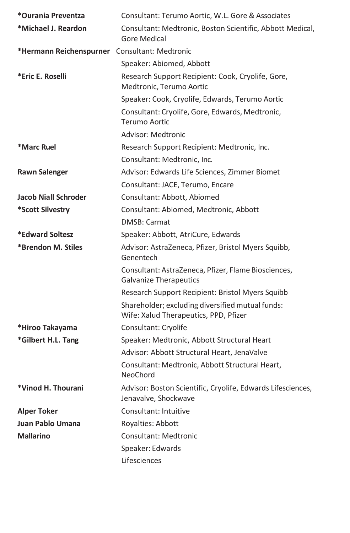| *Ourania Preventza                            | Consultant: Terumo Aortic, W.L. Gore & Associates                                         |
|-----------------------------------------------|-------------------------------------------------------------------------------------------|
| *Michael J. Reardon                           | Consultant: Medtronic, Boston Scientific, Abbott Medical,<br>Gore Medical                 |
| *Hermann Reichenspurner Consultant: Medtronic |                                                                                           |
|                                               | Speaker: Abiomed, Abbott                                                                  |
| *Eric E. Roselli                              | Research Support Recipient: Cook, Cryolife, Gore,<br>Medtronic, Terumo Aortic             |
|                                               | Speaker: Cook, Cryolife, Edwards, Terumo Aortic                                           |
|                                               | Consultant: Cryolife, Gore, Edwards, Medtronic,<br>Terumo Aortic                          |
|                                               | Advisor: Medtronic                                                                        |
| *Marc Ruel                                    | Research Support Recipient: Medtronic, Inc.                                               |
|                                               | Consultant: Medtronic, Inc.                                                               |
| <b>Rawn Salenger</b>                          | Advisor: Edwards Life Sciences, Zimmer Biomet                                             |
|                                               | Consultant: JACE, Terumo, Encare                                                          |
| Jacob Niall Schroder                          | Consultant: Abbott, Abiomed                                                               |
| *Scott Silvestry                              | Consultant: Abiomed, Medtronic, Abbott                                                    |
|                                               | DMSB: Carmat                                                                              |
| *Edward Soltesz                               | Speaker: Abbott, AtriCure, Edwards                                                        |
| *Brendon M. Stiles                            | Advisor: AstraZeneca, Pfizer, Bristol Myers Squibb,<br>Genentech                          |
|                                               | Consultant: AstraZeneca, Pfizer, Flame Biosciences,<br><b>Galvanize Therapeutics</b>      |
|                                               | Research Support Recipient: Bristol Myers Squibb                                          |
|                                               | Shareholder; excluding diversified mutual funds:<br>Wife: Xalud Therapeutics, PPD, Pfizer |
| *Hiroo Takayama                               | Consultant: Cryolife                                                                      |
| *Gilbert H.L. Tang                            | Speaker: Medtronic, Abbott Structural Heart                                               |
|                                               | Advisor: Abbott Structural Heart, JenaValve                                               |
|                                               | Consultant: Medtronic, Abbott Structural Heart,<br>NeoChord                               |
| *Vinod H. Thourani                            | Advisor: Boston Scientific, Cryolife, Edwards Lifesciences,<br>Jenavalve, Shockwave       |
| <b>Alper Toker</b>                            | Consultant: Intuitive                                                                     |
| Juan Pablo Umana                              | Royalties: Abbott                                                                         |
| <b>Mallarino</b>                              | <b>Consultant: Medtronic</b>                                                              |
|                                               | Speaker: Edwards                                                                          |
|                                               | Lifesciences                                                                              |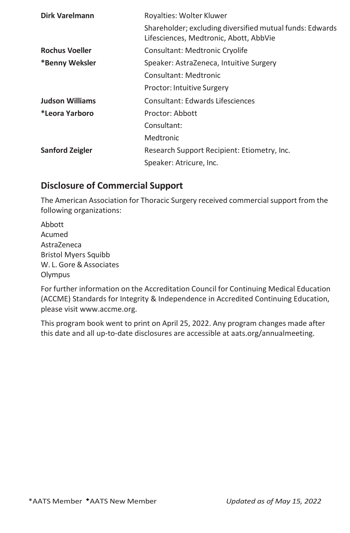| Dirk Varelmann         | Royalties: Wolter Kluwer                                                                           |
|------------------------|----------------------------------------------------------------------------------------------------|
|                        | Shareholder; excluding diversified mutual funds: Edwards<br>Lifesciences, Medtronic, Abott, AbbVie |
| <b>Rochus Voeller</b>  | Consultant: Medtronic Cryolife                                                                     |
| *Benny Weksler         | Speaker: AstraZeneca, Intuitive Surgery                                                            |
|                        | Consultant: Medtronic                                                                              |
|                        | <b>Proctor: Intuitive Surgery</b>                                                                  |
| <b>Judson Williams</b> | Consultant: Edwards Lifesciences                                                                   |
| *Leora Yarboro         | Proctor: Abbott                                                                                    |
|                        | Consultant:                                                                                        |
|                        | Medtronic                                                                                          |
| Sanford Zeigler        | Research Support Recipient: Etiometry, Inc.                                                        |
|                        | Speaker: Atricure, Inc.                                                                            |

## **Disclosure of Commercial Support**

The American Association for Thoracic Surgery received commercial support from the following organizations:

Abbott Acumed AstraZeneca Bristol Myers Squibb W. L. Gore&Associates Olympus

For further information on the Accreditation Council for Continuing Medical Education (ACCME) Standards for Integrity & Independence in Accredited Continuing Education, please visi[t www.accme.org.](http://www.accme.org/)

This program book went to print on April 25, 2022. Any program changes made after this date and all up-to-date disclosures are accessible at aats.org/annualmeeting.